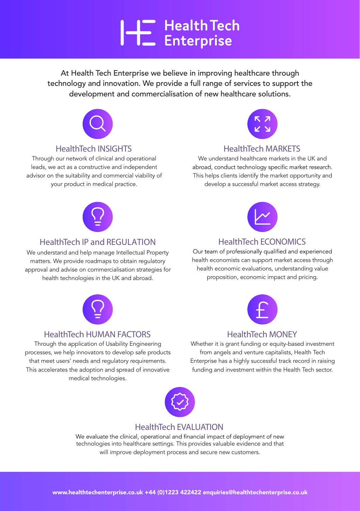# **HE** Health Tech

At Health Tech Enterprise we believe in improving healthcare through technology and innovation. We provide a full range of services to support the development and commercialisation of new healthcare solutions.



#### **HealthTech INSIGHTS**

Through our network of clinical and operational leads, we act as a constructive and independent advisor on the suitability and commercial viability of your product in medical practice.



#### **HealthTech MARKETS**

We understand healthcare markets in the UK and<br>abroad, conduct technology specific market research. This helps clients identify the market opportunity and develop a successful market access strategy.



### **HealthTech IP** and REGULATION

We understand and help manage Intellectual Property matters. We provide roadmaps to obtain regulatory approval and advise on commercialisation strategies for health technologies in the UK and abroad.



### **HealthTech HUMAN FACTORS**

Through the application of Usability Engineering processes, we help innovators to develop safe products that meet users' needs and regulatory requirements. This accelerates the adoption and spread of innovative medical technologies.



### **HealthTech ECONOMICS**

Our team of professionally qualified and experienced health economists can support market access through health economic evaluations, understanding value proposition, economic impact and pricing.



### **HealthTech MONEY**

Whether it is grant funding or equity-based investment from angels and venture capitalists, Health Tech Enterprise has a highly successful track record in raising funding and investment within the Health Tech sector.



#### **HealthTech EVALUATION**

We evaluate the clinical, operational and financial impact of deployment of new technologies into healthcare settings. This provides valuable evidence and that will improve deployment process and secure new customers.